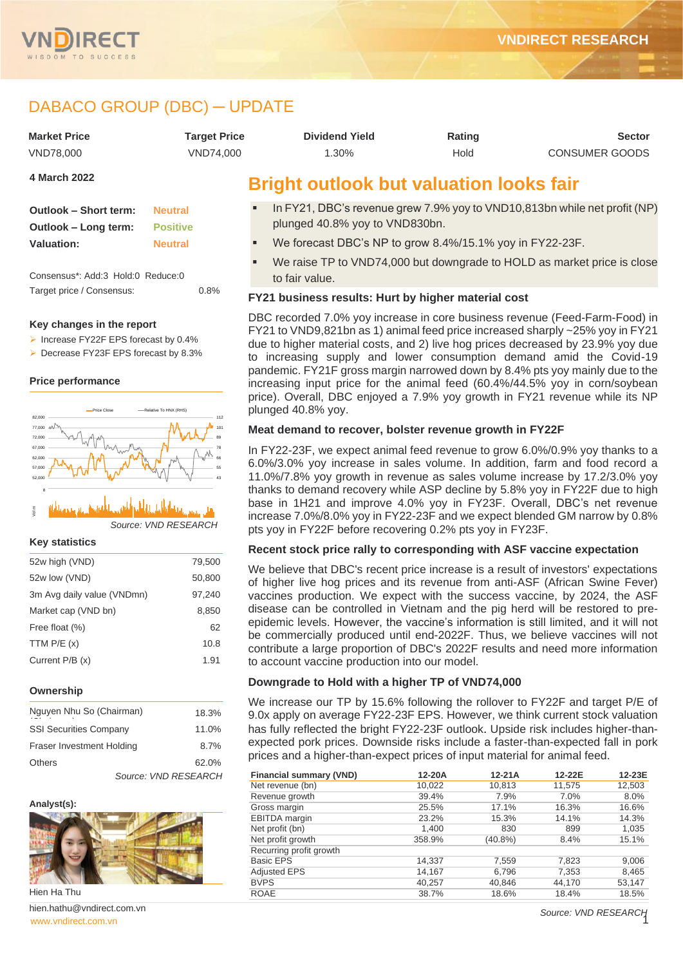

# DABACO GROUP (DBC) ─ UPDATE

| <b>Market Price</b> | <b>Target Price</b> | <b>Dividend Yield</b>                          | Rating | <b>Sector</b>         |
|---------------------|---------------------|------------------------------------------------|--------|-----------------------|
| VND78.000           | VND74.000           | 1.30%                                          | Hold   | <b>CONSUMER GOODS</b> |
| 4 March 2022        |                     | <b>Rright outlook but valuation looks fair</b> |        |                       |

| Outlook - Short term: | <b>Neutral</b>  |
|-----------------------|-----------------|
| Outlook - Long term:  | <b>Positive</b> |
| <b>Valuation:</b>     | <b>Neutral</b>  |

Consensus\*: Add:3 Hold:0 Reduce:0 Target price / Consensus: 0.8%

#### **Key changes in the report**

- ➢ Increase FY22F EPS forecast by 0.4%
- ➢ Decrease FY23F EPS forecast by 8.3%

#### **Price performance**



#### *Source: VND RESEARCH* 03-21 05-21 07-21 09-21 11-21 01-22 Vol m 22 O 4

#### **Key statistics**

| 52w high (VND)             | 79,500 |
|----------------------------|--------|
| 52w low (VND)              | 50,800 |
| 3m Avg daily value (VNDmn) | 97,240 |
| Market cap (VND bn)        | 8.850  |
| Free float (%)             | 62     |
| TTM $P/E(x)$               | 10.8   |
| Current P/B (x)            | 1.91   |
|                            |        |

#### **Ownership**

| Nguyen Nhu So (Chairman)         | 18.3% |
|----------------------------------|-------|
| <b>SSI Securities Company</b>    | 11.0% |
| <b>Fraser Investment Holding</b> | 8.7%  |
| <b>Others</b>                    | 62.0% |
| Source: VND RESEARCH             |       |

#### **Analyst(s):**



Hien Ha Thu

[www.vndirect.com.vn](file:///C:/Users/Andre/Downloads/www.vndirect.com.vn) 1 hien.hathu@vndirect.com.vn

# **Bright outlook but valuation looks fair**

- In FY21, DBC's revenue grew 7.9% yoy to VND10,813bn while net profit (NP) plunged 40.8% yoy to VND830bn.
- We forecast DBC's NP to grow 8.4%/15.1% yoy in FY22-23F.
- We raise TP to VND74,000 but downgrade to HOLD as market price is close to fair value.

### **FY21 business results: Hurt by higher material cost**

DBC recorded 7.0% yoy increase in core business revenue (Feed-Farm-Food) in FY21 to VND9,821bn as 1) animal feed price increased sharply ~25% yoy in FY21 due to higher material costs, and 2) live hog prices decreased by 23.9% yoy due to increasing supply and lower consumption demand amid the Covid-19 pandemic. FY21F gross margin narrowed down by 8.4% pts yoy mainly due to the increasing input price for the animal feed (60.4%/44.5% yoy in corn/soybean price). Overall, DBC enjoyed a 7.9% yoy growth in FY21 revenue while its NP plunged 40.8% yoy.

#### **Meat demand to recover, bolster revenue growth in FY22F**

In FY22-23F, we expect animal feed revenue to grow 6.0%/0.9% yoy thanks to a 6.0%/3.0% yoy increase in sales volume. In addition, farm and food record a 11.0%/7.8% yoy growth in revenue as sales volume increase by 17.2/3.0% yoy thanks to demand recovery while ASP decline by 5.8% yoy in FY22F due to high base in 1H21 and improve 4.0% yoy in FY23F. Overall, DBC's net revenue increase 7.0%/8.0% yoy in FY22-23F and we expect blended GM narrow by 0.8% pts yoy in FY22F before recovering 0.2% pts yoy in FY23F.

### **Recent stock price rally to corresponding with ASF vaccine expectation**

We believe that DBC's recent price increase is a result of investors' expectations of higher live hog prices and its revenue from anti-ASF (African Swine Fever) vaccines production. We expect with the success vaccine, by 2024, the ASF disease can be controlled in Vietnam and the pig herd will be restored to preepidemic levels. However, the vaccine's information is still limited, and it will not be commercially produced until end-2022F. Thus, we believe vaccines will not contribute a large proportion of DBC's 2022F results and need more information to account vaccine production into our model.

### **Downgrade to Hold with a higher TP of VND74,000**

We increase our TP by 15.6% following the rollover to FY22F and target P/E of 9.0x apply on average FY22-23F EPS. However, we think current stock valuation has fully reflected the bright FY22-23F outlook. Upside risk includes higher-thanexpected pork prices. Downside risks include a faster-than-expected fall in pork prices and a higher-than-expect prices of input material for animal feed.

| <b>Financial summary (VND)</b> | 12-20A | $12-21A$   | 12-22E | 12-23E |
|--------------------------------|--------|------------|--------|--------|
| Net revenue (bn)               | 10,022 | 10,813     | 11,575 | 12,503 |
| Revenue growth                 | 39.4%  | 7.9%       | 7.0%   | 8.0%   |
| Gross margin                   | 25.5%  | 17.1%      | 16.3%  | 16.6%  |
| <b>EBITDA</b> margin           | 23.2%  | 15.3%      | 14.1%  | 14.3%  |
| Net profit (bn)                | 1,400  | 830        | 899    | 1,035  |
| Net profit growth              | 358.9% | $(40.8\%)$ | 8.4%   | 15.1%  |
| Recurring profit growth        |        |            |        |        |
| <b>Basic EPS</b>               | 14,337 | 7,559      | 7,823  | 9,006  |
| <b>Adjusted EPS</b>            | 14,167 | 6,796      | 7,353  | 8,465  |
| <b>BVPS</b>                    | 40.257 | 40,846     | 44.170 | 53,147 |
| <b>ROAE</b>                    | 38.7%  | 18.6%      | 18.4%  | 18.5%  |

*Source: VND RESEARCH*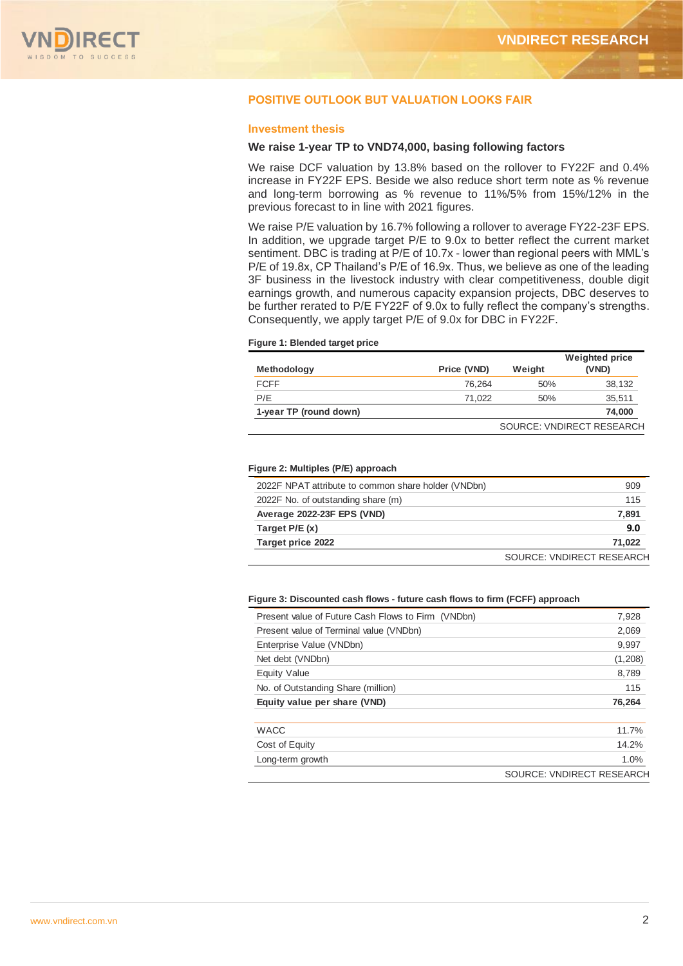

## **POSITIVE OUTLOOK BUT VALUATION LOOKS FAIR**

#### **Investment thesis**

#### **We raise 1-year TP to VND74,000, basing following factors**

We raise DCF valuation by 13.8% based on the rollover to FY22F and 0.4% increase in FY22F EPS. Beside we also reduce short term note as % revenue and long-term borrowing as % revenue to 11%/5% from 15%/12% in the previous forecast to in line with 2021 figures.

We raise P/E valuation by 16.7% following a rollover to average FY22-23F EPS. In addition, we upgrade target P/E to 9.0x to better reflect the current market sentiment. DBC is trading at P/E of 10.7x - lower than regional peers with MML's P/E of 19.8x, CP Thailand's P/E of 16.9x. Thus, we believe as one of the leading 3F business in the livestock industry with clear competitiveness, double digit earnings growth, and numerous capacity expansion projects, DBC deserves to be further rerated to P/E FY22F of 9.0x to fully reflect the company's strengths. Consequently, we apply target P/E of 9.0x for DBC in FY22F.

#### **Figure 1: Blended target price**

| <b>Methodology</b>     | Price (VND) | Weight | <b>Weighted price</b><br>(VND) |
|------------------------|-------------|--------|--------------------------------|
| <b>FCFF</b>            | 76.264      | 50%    | 38.132                         |
| P/E                    | 71.022      | 50%    | 35,511                         |
| 1-year TP (round down) |             |        | 74,000                         |
|                        |             |        | SOURCE: VNDIRECT RESEARCH      |

#### **Figure 2: Multiples (P/E) approach**

| 2022F NPAT attribute to common share holder (VNDbn) | 909                       |
|-----------------------------------------------------|---------------------------|
| 2022F No. of outstanding share (m)                  | 115                       |
| Average 2022-23F EPS (VND)                          | 7,891                     |
| Target $P/E(x)$                                     | 9.0                       |
| Target price 2022                                   | 71,022                    |
|                                                     | SOURCE: VNDIRECT RESEARCH |

#### **Figure 3: Discounted cash flows - future cash flows to firm (FCFF) approach**

| Present value of Future Cash Flows to Firm (VNDbn) | 7,928                     |
|----------------------------------------------------|---------------------------|
| Present value of Terminal value (VNDbn)            | 2,069                     |
| Enterprise Value (VNDbn)                           | 9,997                     |
| Net debt (VNDbn)                                   | (1,208)                   |
| <b>Equity Value</b>                                | 8,789                     |
| No. of Outstanding Share (million)                 | 115                       |
| Equity value per share (VND)                       | 76,264                    |
| <b>WACC</b>                                        | 11.7%                     |
| Cost of Equity                                     | 14.2%                     |
| Long-term growth                                   | 1.0%                      |
|                                                    | SOURCE: VNDIRECT RESEARCH |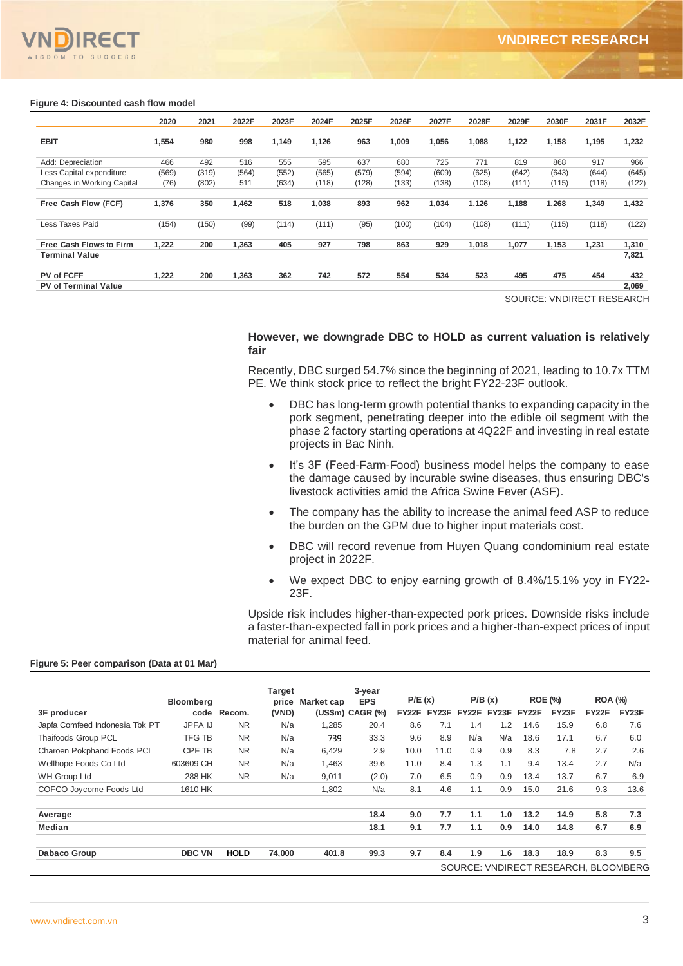

### **Figure 4: Discounted cash flow model**

|                                | 2020  | 2021  | 2022F | 2023F | 2024F | 2025F | 2026F | 2027F | 2028F | 2029F | 2030F | 2031F                     | 2032F |
|--------------------------------|-------|-------|-------|-------|-------|-------|-------|-------|-------|-------|-------|---------------------------|-------|
| <b>EBIT</b>                    | 1,554 | 980   | 998   | 1,149 | 1,126 | 963   | 1,009 | 1,056 | 1,088 | 1,122 | 1,158 | 1,195                     | 1,232 |
|                                |       |       |       |       |       |       |       |       |       |       |       |                           |       |
| Add: Depreciation              | 466   | 492   | 516   | 555   | 595   | 637   | 680   | 725   | 771   | 819   | 868   | 917                       | 966   |
| Less Capital expenditure       | (569) | (319) | (564) | (552) | (565) | (579) | (594) | (609) | (625) | (642) | (643) | (644)                     | (645) |
| Changes in Working Capital     | (76)  | (802) | 511   | (634) | (118) | (128) | (133) | (138) | (108) | (111) | (115) | (118)                     | (122) |
| Free Cash Flow (FCF)           | 1,376 | 350   | 1,462 | 518   | 1,038 | 893   | 962   | 1,034 | 1,126 | 1,188 | 1,268 | 1,349                     | 1,432 |
| Less Taxes Paid                | (154) | (150) | (99)  | (114) | (111) | (95)  | (100) | (104) | (108) | (111) | (115) | (118)                     | (122) |
| <b>Free Cash Flows to Firm</b> | 1.222 | 200   | 1,363 | 405   | 927   | 798   | 863   | 929   | 1,018 | 1,077 | 1,153 | 1,231                     | 1,310 |
| <b>Terminal Value</b>          |       |       |       |       |       |       |       |       |       |       |       |                           | 7,821 |
| PV of FCFF                     | 1.222 | 200   | 1,363 | 362   | 742   | 572   | 554   | 534   | 523   | 495   | 475   | 454                       | 432   |
| <b>PV of Terminal Value</b>    |       |       |       |       |       |       |       |       |       |       |       |                           | 2,069 |
|                                |       |       |       |       |       |       |       |       |       |       |       | SOURCE: VNDIRECT RESEARCH |       |

## **However, we downgrade DBC to HOLD as current valuation is relatively fair**

Recently, DBC surged 54.7% since the beginning of 2021, leading to 10.7x TTM PE. We think stock price to reflect the bright FY22-23F outlook.

- DBC has long-term growth potential thanks to expanding capacity in the pork segment, penetrating deeper into the edible oil segment with the phase 2 factory starting operations at 4Q22F and investing in real estate projects in Bac Ninh.
- It's 3F (Feed-Farm-Food) business model helps the company to ease the damage caused by incurable swine diseases, thus ensuring DBC's livestock activities amid the Africa Swine Fever (ASF).
- The company has the ability to increase the animal feed ASP to reduce the burden on the GPM due to higher input materials cost.
- DBC will record revenue from Huyen Quang condominium real estate project in 2022F.
- We expect DBC to enjoy earning growth of 8.4%/15.1% yoy in FY22- 23F.

Upside risk includes higher-than-expected pork prices. Downside risks include a faster-than-expected fall in pork prices and a higher-than-expect prices of input material for animal feed.

#### **Figure 5: Peer comparison (Data at 01 Mar)**

|                                | <b>Bloomberg</b> |             | Target<br>price | Market cap | 3-year<br><b>EPS</b> | P/E(x)             |       |       | P/B(x) |       | <b>ROE (%)</b>                       | <b>ROA (%)</b>     |       |
|--------------------------------|------------------|-------------|-----------------|------------|----------------------|--------------------|-------|-------|--------|-------|--------------------------------------|--------------------|-------|
| 3F producer                    |                  | code Recom. | (VND)           |            | $(US$m) CAGR (\%)$   | FY <sub>22</sub> F | FY23F | FY22F | FY23F  | FY22F | FY <sub>23</sub> F                   | FY <sub>22</sub> F | FY23F |
| Japfa Comfeed Indonesia Tbk PT | <b>JPFA IJ</b>   | <b>NR</b>   | N/a             | 1,285      | 20.4                 | 8.6                | 7.1   | 1.4   | 1.2    | 14.6  | 15.9                                 | 6.8                | 7.6   |
| Thaifoods Group PCL            | <b>TFG TB</b>    | <b>NR</b>   | N/a             | 739        | 33.3                 | 9.6                | 8.9   | N/a   | N/a    | 18.6  | 17.1                                 | 6.7                | 6.0   |
| Charoen Pokphand Foods PCL     | CPF TB           | <b>NR</b>   | N/a             | 6,429      | 2.9                  | 10.0               | 11.0  | 0.9   | 0.9    | 8.3   | 7.8                                  | 2.7                | 2.6   |
| Wellhope Foods Co Ltd          | 603609 CH        | <b>NR</b>   | N/a             | 1.463      | 39.6                 | 11.0               | 8.4   | 1.3   | 1.1    | 9.4   | 13.4                                 | 2.7                | N/a   |
| <b>WH Group Ltd</b>            | 288 HK           | <b>NR</b>   | N/a             | 9.011      | (2.0)                | 7.0                | 6.5   | 0.9   | 0.9    | 13.4  | 13.7                                 | 6.7                | 6.9   |
| COFCO Joycome Foods Ltd        | 1610 HK          |             |                 | 1,802      | N/a                  | 8.1                | 4.6   | 1.1   | 0.9    | 15.0  | 21.6                                 | 9.3                | 13.6  |
| Average                        |                  |             |                 |            | 18.4                 | 9.0                | 7.7   | 1.1   | 1.0    | 13.2  | 14.9                                 | 5.8                | 7.3   |
| <b>Median</b>                  |                  |             |                 |            | 18.1                 | 9.1                | 7.7   | 1.1   | 0.9    | 14.0  | 14.8                                 | 6.7                | 6.9   |
| Dabaco Group                   | <b>DBC VN</b>    | <b>HOLD</b> | 74.000          | 401.8      | 99.3                 | 9.7                | 8.4   | 1.9   | 1.6    | 18.3  | 18.9                                 | 8.3                | 9.5   |
|                                |                  |             |                 |            |                      |                    |       |       |        |       | SOURCE: VNDIRECT RESEARCH, BLOOMBERG |                    |       |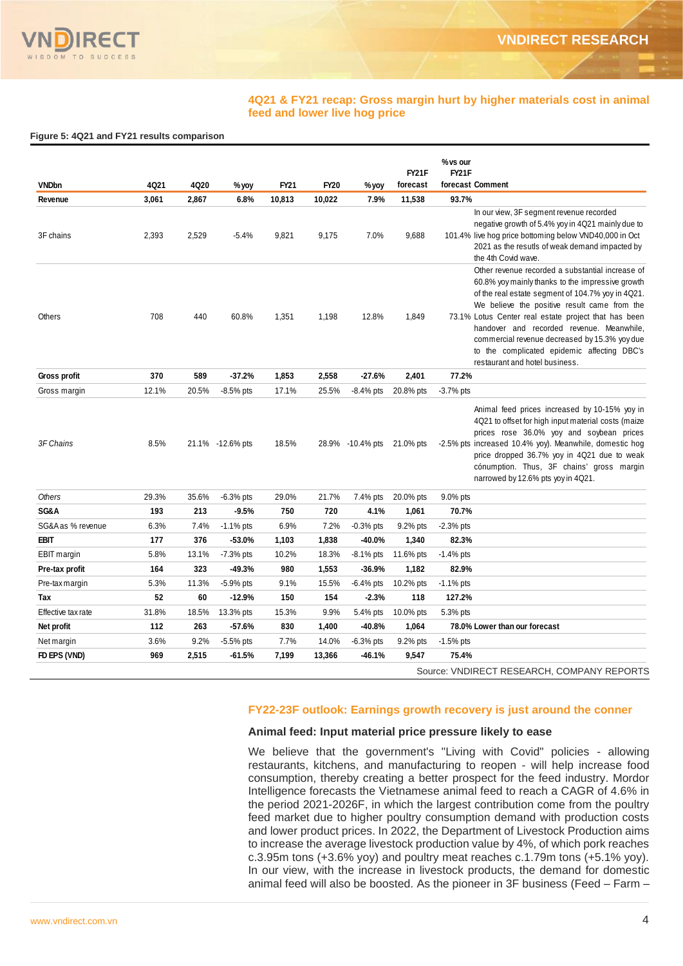

#### **4Q21 & FY21 recap: Gross margin hurt by higher materials cost in animal feed and lower live hog price**

#### **Figure 5: 4Q21 and FY21 results comparison**

| <b>VNDbn</b>       | 4Q21  | 4Q20  | % yoy            | FY21   | FY20   | % yoy                      | FY21F<br>forecast | % vs our<br>FY21F<br>forecast Comment                                                                                                                                                                                                                                                                                                                                                                                                            |
|--------------------|-------|-------|------------------|--------|--------|----------------------------|-------------------|--------------------------------------------------------------------------------------------------------------------------------------------------------------------------------------------------------------------------------------------------------------------------------------------------------------------------------------------------------------------------------------------------------------------------------------------------|
| Revenue            | 3,061 | 2,867 | 6.8%             | 10,813 | 10,022 | 7.9%                       | 11,538            | 93.7%                                                                                                                                                                                                                                                                                                                                                                                                                                            |
| 3F chains          | 2,393 | 2,529 | $-5.4%$          | 9,821  | 9,175  | 7.0%                       | 9,688             | In our view, 3F segment revenue recorded<br>negative growth of 5.4% yoy in 4Q21 mainly due to<br>101.4% live hog price bottoming below VND40,000 in Oct<br>2021 as the resutls of weak demand impacted by<br>the 4th Covid wave.                                                                                                                                                                                                                 |
| Others             | 708   | 440   | 60.8%            | 1,351  | 1,198  | 12.8%                      | 1,849             | Other revenue recorded a substantial increase of<br>60.8% yoy mainly thanks to the impressive growth<br>of the real estate segment of 104.7% yoy in 4Q21.<br>We believe the positive result came from the<br>73.1% Lotus Center real estate project that has been<br>handover and recorded revenue. Meanwhile,<br>commercial revenue decreased by 15.3% yoy due<br>to the complicated epidemic affecting DBC's<br>restaurant and hotel business. |
| Gross profit       | 370   | 589   | $-37.2%$         | 1,853  | 2,558  | $-27.6%$                   | 2,401             | 77.2%                                                                                                                                                                                                                                                                                                                                                                                                                                            |
| Gross margin       | 12.1% | 20.5% | $-8.5%$ pts      | 17.1%  | 25.5%  | $-8.4\%$ pts               | 20.8% pts         | $-3.7%$ pts                                                                                                                                                                                                                                                                                                                                                                                                                                      |
| 3F Chains          | 8.5%  |       | 21.1% -12.6% pts | 18.5%  |        | 28.9% -10.4% pts 21.0% pts |                   | Animal feed prices increased by 10-15% yoy in<br>4Q21 to offset for high input material costs (maize<br>prices rose 36.0% yoy and soybean prices<br>-2.5% pts increased 10.4% yoy). Meanwhile, domestic hog<br>price dropped 36.7% yoy in 4Q21 due to weak<br>cónumption. Thus, 3F chains' gross margin<br>narrowed by 12.6% pts yoy in 4Q21.                                                                                                    |
| <b>Others</b>      | 29.3% | 35.6% | $-6.3%$ pts      | 29.0%  | 21.7%  | 7.4% pts                   | 20.0% pts         | 9.0% pts                                                                                                                                                                                                                                                                                                                                                                                                                                         |
| SG&A               | 193   | 213   | $-9.5%$          | 750    | 720    | 4.1%                       | 1,061             | 70.7%                                                                                                                                                                                                                                                                                                                                                                                                                                            |
| SG&A as % revenue  | 6.3%  | 7.4%  | $-1.1\%$ pts     | 6.9%   | 7.2%   | $-0.3%$ pts                | 9.2% pts          | $-2.3%$ pts                                                                                                                                                                                                                                                                                                                                                                                                                                      |
| <b>EBIT</b>        | 177   | 376   | -53.0%           | 1,103  | 1,838  | $-40.0%$                   | 1,340             | 82.3%                                                                                                                                                                                                                                                                                                                                                                                                                                            |
| EBIT margin        | 5.8%  | 13.1% | -7.3% pts        | 10.2%  | 18.3%  | $-8.1\%$ pts               | 11.6% pts         | $-1.4%$ pts                                                                                                                                                                                                                                                                                                                                                                                                                                      |
| Pre-tax profit     | 164   | 323   | $-49.3%$         | 980    | 1,553  | $-36.9%$                   | 1,182             | 82.9%                                                                                                                                                                                                                                                                                                                                                                                                                                            |
| Pre-tax margin     | 5.3%  | 11.3% | $-5.9%$ pts      | 9.1%   | 15.5%  | $-6.4\%$ pts               | 10.2% pts         | $-1.1\%$ pts                                                                                                                                                                                                                                                                                                                                                                                                                                     |
| Tax                | 52    | 60    | $-12.9%$         | 150    | 154    | $-2.3%$                    | 118               | 127.2%                                                                                                                                                                                                                                                                                                                                                                                                                                           |
| Effective tax rate | 31.8% | 18.5% | 13.3% pts        | 15.3%  | 9.9%   | 5.4% pts                   | 10.0% pts         | 5.3% pts                                                                                                                                                                                                                                                                                                                                                                                                                                         |
| Net profit         | 112   | 263   | $-57.6%$         | 830    | 1,400  | $-40.8%$                   | 1,064             | 78.0% Lower than our forecast                                                                                                                                                                                                                                                                                                                                                                                                                    |
| Net margin         | 3.6%  | 9.2%  | $-5.5%$ pts      | 7.7%   | 14.0%  | $-6.3\%$ pts               | 9.2% pts          | $-1.5%$ pts                                                                                                                                                                                                                                                                                                                                                                                                                                      |
| FD EPS (VND)       | 969   | 2,515 | $-61.5%$         | 7,199  | 13,366 | $-46.1%$                   | 9,547             | 75.4%                                                                                                                                                                                                                                                                                                                                                                                                                                            |

## **FY22-23F outlook: Earnings growth recovery is just around the conner**

#### **Animal feed: Input material price pressure likely to ease**

We believe that the government's "Living with Covid" policies - allowing restaurants, kitchens, and manufacturing to reopen - will help increase food consumption, thereby creating a better prospect for the feed industry. Mordor Intelligence forecasts the Vietnamese animal feed to reach a CAGR of 4.6% in the period 2021-2026F, in which the largest contribution come from the poultry feed market due to higher poultry consumption demand with production costs and lower product prices. In 2022, the Department of Livestock Production aims to increase the average livestock production value by 4%, of which pork reaches c.3.95m tons (+3.6% yoy) and poultry meat reaches c.1.79m tons (+5.1% yoy). In our view, with the increase in livestock products, the demand for domestic animal feed will also be boosted. As the pioneer in 3F business (Feed – Farm –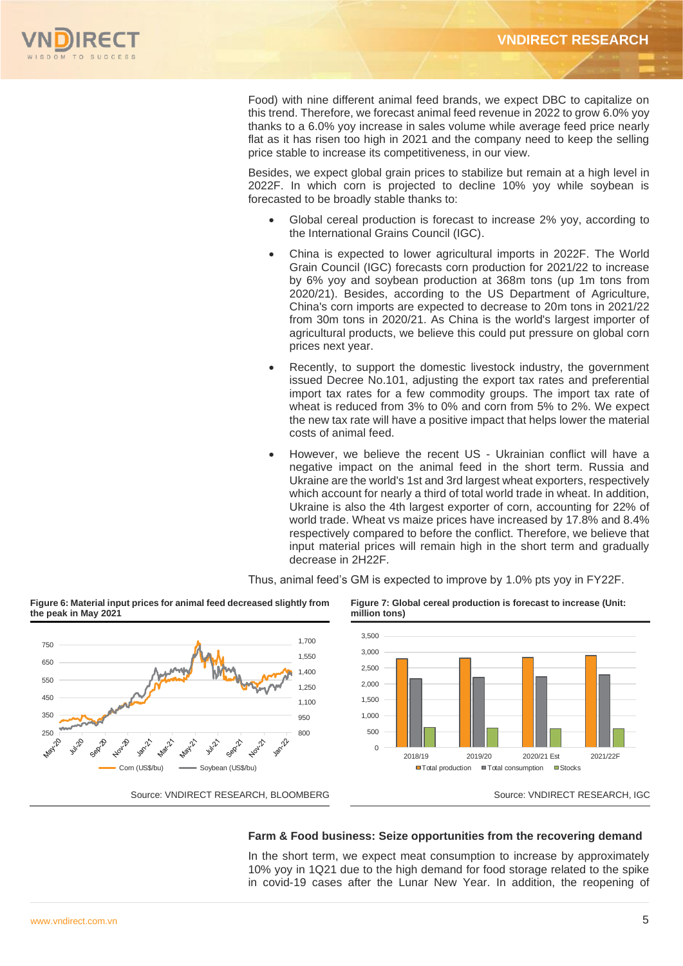

Food) with nine different animal feed brands, we expect DBC to capitalize on this trend. Therefore, we forecast animal feed revenue in 2022 to grow 6.0% yoy thanks to a 6.0% yoy increase in sales volume while average feed price nearly flat as it has risen too high in 2021 and the company need to keep the selling price stable to increase its competitiveness, in our view.

Besides, we expect global grain prices to stabilize but remain at a high level in 2022F. In which corn is projected to decline 10% yoy while soybean is forecasted to be broadly stable thanks to:

- Global cereal production is forecast to increase 2% yoy, according to the International Grains Council (IGC).
- China is expected to lower agricultural imports in 2022F. The World Grain Council (IGC) forecasts corn production for 2021/22 to increase by 6% yoy and soybean production at 368m tons (up 1m tons from 2020/21). Besides, according to the US Department of Agriculture, China's corn imports are expected to decrease to 20m tons in 2021/22 from 30m tons in 2020/21. As China is the world's largest importer of agricultural products, we believe this could put pressure on global corn prices next year.
- Recently, to support the domestic livestock industry, the government issued Decree No.101, adjusting the export tax rates and preferential import tax rates for a few commodity groups. The import tax rate of wheat is reduced from 3% to 0% and corn from 5% to 2%. We expect the new tax rate will have a positive impact that helps lower the material costs of animal feed.
- However, we believe the recent US Ukrainian conflict will have a negative impact on the animal feed in the short term. Russia and Ukraine are the world's 1st and 3rd largest wheat exporters, respectively which account for nearly a third of total world trade in wheat. In addition, Ukraine is also the 4th largest exporter of corn, accounting for 22% of world trade. Wheat vs maize prices have increased by 17.8% and 8.4% respectively compared to before the conflict. Therefore, we believe that input material prices will remain high in the short term and gradually decrease in 2H22F.

Thus, animal feed's GM is expected to improve by 1.0% pts yoy in FY22F.



**Figure 6: Material input prices for animal feed decreased slightly from** 

**Figure 7: Global cereal production is forecast to increase (Unit: million tons)** 



Source: VNDIRECT RESEARCH, BLOOMBERG Source: VNDIRECT RESEARCH, IGC

### **Farm & Food business: Seize opportunities from the recovering demand**

In the short term, we expect meat consumption to increase by approximately 10% yoy in 1Q21 due to the high demand for food storage related to the spike in covid-19 cases after the Lunar New Year. In addition, the reopening of

**the peak in May 2021**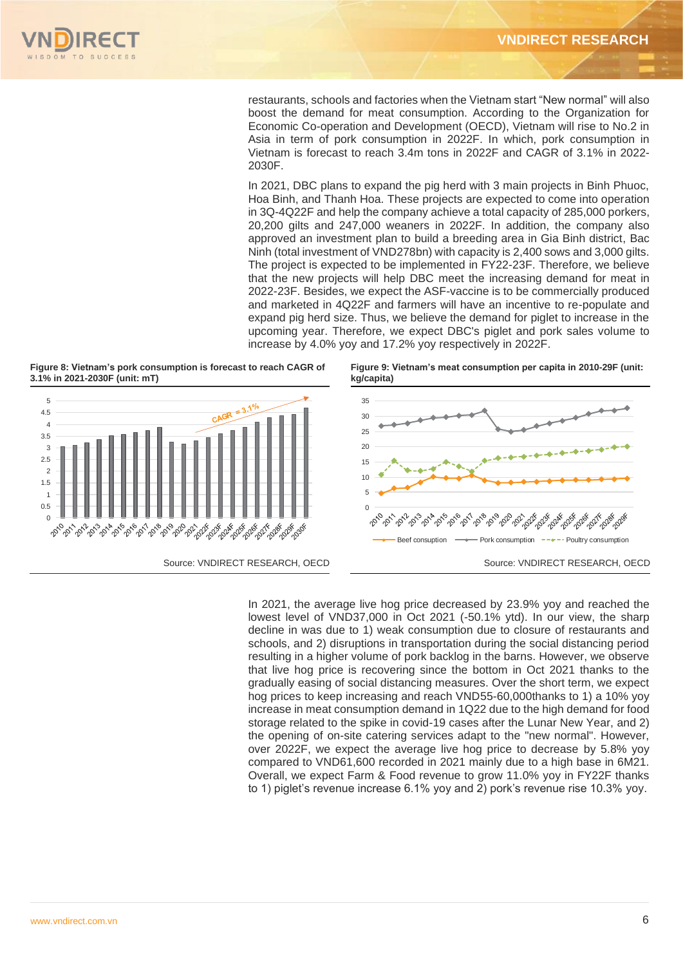restaurants, schools and factories when the Vietnam start "New normal" will also boost the demand for meat consumption. According to the Organization for Economic Co-operation and Development (OECD), Vietnam will rise to No.2 in Asia in term of pork consumption in 2022F. In which, pork consumption in Vietnam is forecast to reach 3.4m tons in 2022F and CAGR of 3.1% in 2022- 2030F.

In 2021, DBC plans to expand the pig herd with 3 main projects in Binh Phuoc, Hoa Binh, and Thanh Hoa. These projects are expected to come into operation in 3Q-4Q22F and help the company achieve a total capacity of 285,000 porkers, 20,200 gilts and 247,000 weaners in 2022F. In addition, the company also approved an investment plan to build a breeding area in Gia Binh district, Bac Ninh (total investment of VND278bn) with capacity is 2,400 sows and 3,000 gilts. The project is expected to be implemented in FY22-23F. Therefore, we believe that the new projects will help DBC meet the increasing demand for meat in 2022-23F. Besides, we expect the ASF-vaccine is to be commercially produced and marketed in 4Q22F and farmers will have an incentive to re-populate and expand pig herd size. Thus, we believe the demand for piglet to increase in the upcoming year. Therefore, we expect DBC's piglet and pork sales volume to increase by 4.0% yoy and 17.2% yoy respectively in 2022F.

**Figure 8: Vietnam's pork consumption is forecast to reach CAGR of 3.1% in 2021-2030F (unit: mT)**



**Figure 9: Vietnam's meat consumption per capita in 2010-29F (unit: kg/capita)**



In 2021, the average live hog price decreased by 23.9% yoy and reached the lowest level of VND37,000 in Oct 2021 (-50.1% ytd). In our view, the sharp decline in was due to 1) weak consumption due to closure of restaurants and schools, and 2) disruptions in transportation during the social distancing period resulting in a higher volume of pork backlog in the barns. However, we observe that live hog price is recovering since the bottom in Oct 2021 thanks to the gradually easing of social distancing measures. Over the short term, we expect hog prices to keep increasing and reach VND55-60,000thanks to 1) a 10% yoy increase in meat consumption demand in 1Q22 due to the high demand for food storage related to the spike in covid-19 cases after the Lunar New Year, and 2) the opening of on-site catering services adapt to the "new normal". However, over 2022F, we expect the average live hog price to decrease by 5.8% yoy compared to VND61,600 recorded in 2021 mainly due to a high base in 6M21. Overall, we expect Farm & Food revenue to grow 11.0% yoy in FY22F thanks to 1) piglet's revenue increase 6.1% yoy and 2) pork's revenue rise 10.3% yoy.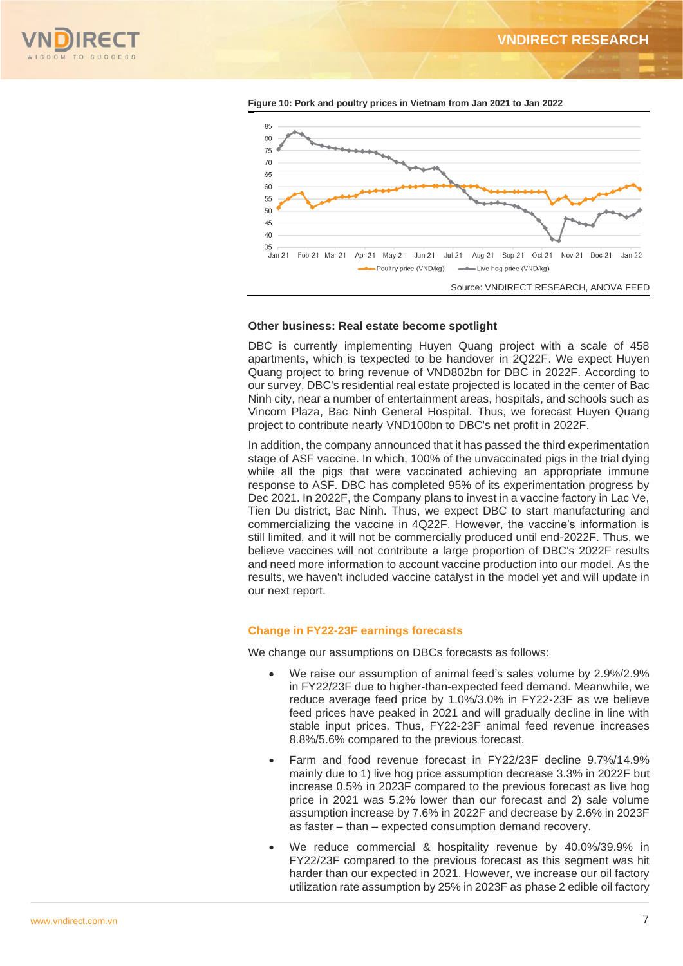





#### **Other business: Real estate become spotlight**

DBC is currently implementing Huyen Quang project with a scale of 458 apartments, which is texpected to be handover in 2Q22F. We expect Huyen Quang project to bring revenue of VND802bn for DBC in 2022F. According to our survey, DBC's residential real estate projected is located in the center of Bac Ninh city, near a number of entertainment areas, hospitals, and schools such as Vincom Plaza, Bac Ninh General Hospital. Thus, we forecast Huyen Quang project to contribute nearly VND100bn to DBC's net profit in 2022F.

In addition, the company announced that it has passed the third experimentation stage of ASF vaccine. In which, 100% of the unvaccinated pigs in the trial dying while all the pigs that were vaccinated achieving an appropriate immune response to ASF. DBC has completed 95% of its experimentation progress by Dec 2021. In 2022F, the Company plans to invest in a vaccine factory in Lac Ve, Tien Du district, Bac Ninh. Thus, we expect DBC to start manufacturing and commercializing the vaccine in 4Q22F. However, the vaccine's information is still limited, and it will not be commercially produced until end-2022F. Thus, we believe vaccines will not contribute a large proportion of DBC's 2022F results and need more information to account vaccine production into our model. As the results, we haven't included vaccine catalyst in the model yet and will update in our next report.

#### **Change in FY22-23F earnings forecasts**

We change our assumptions on DBCs forecasts as follows:

- We raise our assumption of animal feed's sales volume by 2.9%/2.9% in FY22/23F due to higher-than-expected feed demand. Meanwhile, we reduce average feed price by 1.0%/3.0% in FY22-23F as we believe feed prices have peaked in 2021 and will gradually decline in line with stable input prices. Thus, FY22-23F animal feed revenue increases 8.8%/5.6% compared to the previous forecast.
- Farm and food revenue forecast in FY22/23F decline 9.7%/14.9% mainly due to 1) live hog price assumption decrease 3.3% in 2022F but increase 0.5% in 2023F compared to the previous forecast as live hog price in 2021 was 5.2% lower than our forecast and 2) sale volume assumption increase by 7.6% in 2022F and decrease by 2.6% in 2023F as faster – than – expected consumption demand recovery.
- We reduce commercial & hospitality revenue by 40.0%/39.9% in FY22/23F compared to the previous forecast as this segment was hit harder than our expected in 2021. However, we increase our oil factory utilization rate assumption by 25% in 2023F as phase 2 edible oil factory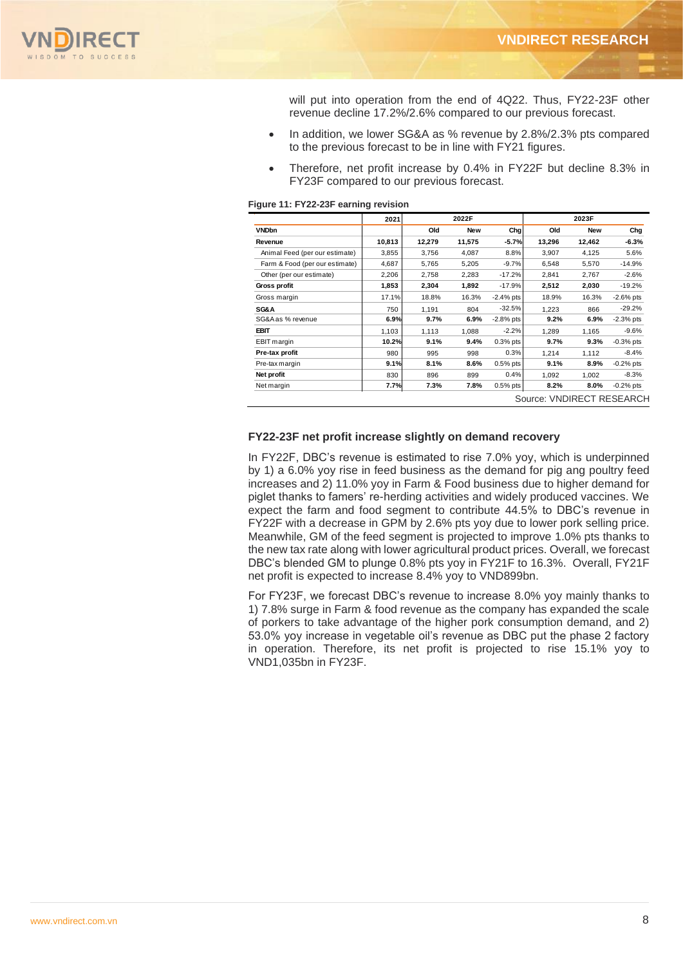

will put into operation from the end of 4Q22. Thus, FY22-23F other revenue decline 17.2%/2.6% compared to our previous forecast.

- In addition, we lower SG&A as % revenue by 2.8%/2.3% pts compared to the previous forecast to be in line with FY21 figures.
- Therefore, net profit increase by 0.4% in FY22F but decline 8.3% in FY23F compared to our previous forecast.

| Figure 11: FY22-23F earning revision |  |  |  |  |
|--------------------------------------|--|--|--|--|
|--------------------------------------|--|--|--|--|

|                                | 2021   |        | 2022F      |              |                           | 2023F      |              |
|--------------------------------|--------|--------|------------|--------------|---------------------------|------------|--------------|
| <b>VNDbn</b>                   |        | Old    | <b>New</b> | Chg          | Old                       | <b>New</b> | Chg          |
| Revenue                        | 10,813 | 12,279 | 11,575     | $-5.7%$      | 13,296                    | 12,462     | $-6.3%$      |
| Animal Feed (per our estimate) | 3,855  | 3,756  | 4,087      | 8.8%         | 3,907                     | 4,125      | 5.6%         |
| Farm & Food (per our estimate) | 4,687  | 5,765  | 5,205      | $-9.7%$      | 6,548                     | 5,570      | $-14.9%$     |
| Other (per our estimate)       | 2,206  | 2,758  | 2,283      | $-17.2%$     | 2.841                     | 2.767      | $-2.6%$      |
| Gross profit                   | 1,853  | 2,304  | 1,892      | $-17.9%$     | 2,512                     | 2,030      | $-19.2%$     |
| Gross margin                   | 17.1%  | 18.8%  | 16.3%      | $-2.4\%$ pts | 18.9%                     | 16.3%      | $-2.6\%$ pts |
| SG&A                           | 750    | 1.191  | 804        | $-32.5%$     | 1.223                     | 866        | $-29.2%$     |
| SG&A as % revenue              | 6.9%   | 9.7%   | 6.9%       | $-2.8\%$ pts | 9.2%                      | 6.9%       | $-2.3%$ pts  |
| <b>EBIT</b>                    | 1.103  | 1.113  | 1.088      | $-2.2%$      | 1.289                     | 1.165      | $-9.6%$      |
| <b>EBIT</b> margin             | 10.2%  | 9.1%   | 9.4%       | $0.3%$ pts   | 9.7%                      | 9.3%       | $-0.3%$ pts  |
| Pre-tax profit                 | 980    | 995    | 998        | 0.3%         | 1.214                     | 1.112      | $-8.4%$      |
| Pre-tax margin                 | 9.1%   | 8.1%   | 8.6%       | $0.5%$ pts   | 9.1%                      | $8.9\%$    | $-0.2%$ pts  |
| Net profit                     | 830    | 896    | 899        | 0.4%         | 1.092                     | 1.002      | $-8.3%$      |
| Net margin                     | 7.7%   | 7.3%   | 7.8%       | $0.5%$ pts   | 8.2%                      | $8.0\%$    | $-0.2%$ pts  |
|                                |        |        |            |              | Source: VNDIRECT RESEARCH |            |              |

### **FY22-23F net profit increase slightly on demand recovery**

In FY22F, DBC's revenue is estimated to rise 7.0% yoy, which is underpinned by 1) a 6.0% yoy rise in feed business as the demand for pig ang poultry feed increases and 2) 11.0% yoy in Farm & Food business due to higher demand for piglet thanks to famers' re-herding activities and widely produced vaccines. We expect the farm and food segment to contribute 44.5% to DBC's revenue in FY22F with a decrease in GPM by 2.6% pts yoy due to lower pork selling price. Meanwhile, GM of the feed segment is projected to improve 1.0% pts thanks to the new tax rate along with lower agricultural product prices. Overall, we forecast DBC's blended GM to plunge 0.8% pts yoy in FY21F to 16.3%. Overall, FY21F net profit is expected to increase 8.4% yoy to VND899bn.

For FY23F, we forecast DBC's revenue to increase 8.0% yoy mainly thanks to 1) 7.8% surge in Farm & food revenue as the company has expanded the scale of porkers to take advantage of the higher pork consumption demand, and 2) 53.0% yoy increase in vegetable oil's revenue as DBC put the phase 2 factory in operation. Therefore, its net profit is projected to rise 15.1% yoy to VND1,035bn in FY23F.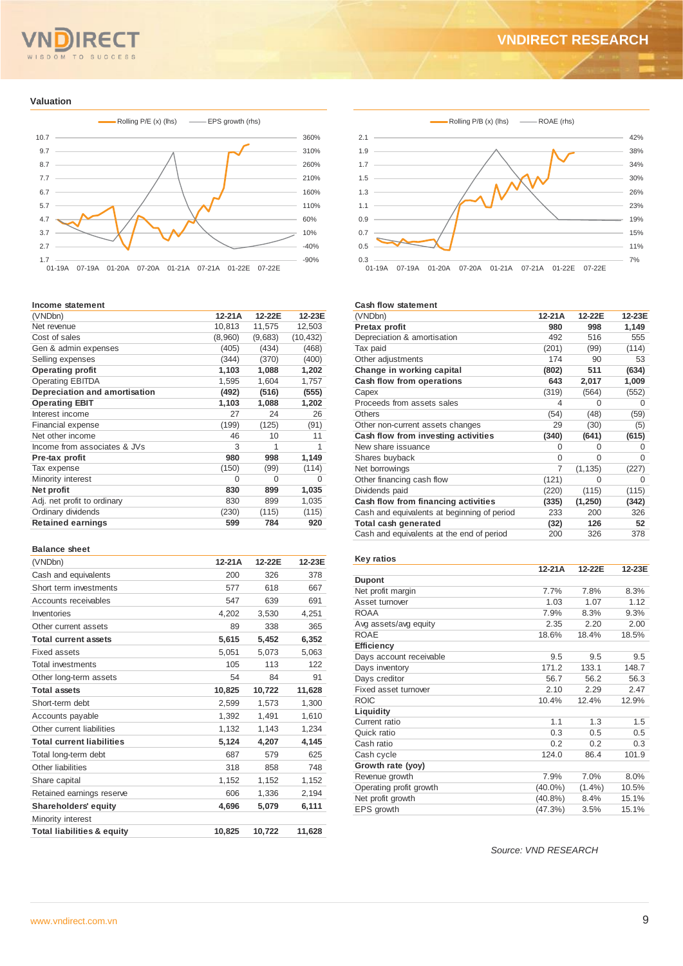# OM TO SUCCESS  $S<sub>D</sub>$

# **VNDIRECT RESEARCH**

**Valuation**



#### **Income statement**

| (VNDbn)                       | 12-21A  | 12-22E  | 12-23E    |
|-------------------------------|---------|---------|-----------|
| Net revenue                   | 10,813  | 11,575  | 12,503    |
| Cost of sales                 | (8,960) | (9,683) | (10, 432) |
| Gen & admin expenses          | (405)   | (434)   | (468)     |
| Selling expenses              | (344)   | (370)   | (400)     |
| <b>Operating profit</b>       | 1,103   | 1,088   | 1,202     |
| <b>Operating EBITDA</b>       | 1,595   | 1,604   | 1,757     |
| Depreciation and amortisation | (492)   | (516)   | (555)     |
| <b>Operating EBIT</b>         | 1,103   | 1,088   | 1,202     |
| Interest income               | 27      | 24      | 26        |
| Financial expense             | (199)   | (125)   | (91)      |
| Net other income              | 46      | 10      | 11        |
| Income from associates & JVs  | 3       | 1       | 1         |
| Pre-tax profit                | 980     | 998     | 1,149     |
| Tax expense                   | (150)   | (99)    | (114)     |
| Minority interest             | 0       | 0       | O         |
| Net profit                    | 830     | 899     | 1,035     |
| Adj. net profit to ordinary   | 830     | 899     | 1,035     |
| Ordinary dividends            | (230)   | (115)   | (115)     |
| <b>Retained earnings</b>      | 599     | 784     | 920       |
|                               |         |         |           |

#### **Balance sheet**

| (VNDbn)                               | 12-21A | 12-22E | 12-23E |
|---------------------------------------|--------|--------|--------|
| Cash and equivalents                  | 200    | 326    | 378    |
| Short term investments                | 577    | 618    | 667    |
| Accounts receivables                  | 547    | 639    | 691    |
| Inventories                           | 4,202  | 3,530  | 4,251  |
| Other current assets                  | 89     | 338    | 365    |
| <b>Total current assets</b>           | 5,615  | 5,452  | 6,352  |
| Fixed assets                          | 5,051  | 5,073  | 5,063  |
| <b>Total investments</b>              | 105    | 113    | 122    |
| Other long-term assets                | 54     | 84     | 91     |
| <b>Total assets</b>                   | 10,825 | 10,722 | 11,628 |
| Short-term debt                       | 2,599  | 1,573  | 1,300  |
| Accounts payable                      | 1,392  | 1,491  | 1,610  |
| Other current liabilities             | 1,132  | 1,143  | 1,234  |
| <b>Total current liabilities</b>      | 5,124  | 4,207  | 4,145  |
| Total long-term debt                  | 687    | 579    | 625    |
| Other liabilities                     | 318    | 858    | 748    |
| Share capital                         | 1,152  | 1,152  | 1,152  |
| Retained earnings reserve             | 606    | 1,336  | 2,194  |
| <b>Shareholders' equity</b>           | 4,696  | 5,079  | 6,111  |
| Minority interest                     |        |        |        |
| <b>Total liabilities &amp; equity</b> | 10.825 | 10.722 | 11,628 |



#### **Cash flow statement**

| (VNDbn)                                     | 12-21A   | 12-22E   | 12-23E |
|---------------------------------------------|----------|----------|--------|
| Pretax profit                               | 980      | 998      | 1,149  |
| Depreciation & amortisation                 | 492      | 516      | 555    |
| Tax paid                                    | (201)    | (99)     | (114)  |
| Other adjustments                           | 174      | 90       | 53     |
| Change in working capital                   | (802)    | 511      | (634)  |
| Cash flow from operations                   | 643      | 2,017    | 1,009  |
| Capex                                       | (319)    | (564)    | (552)  |
| Proceeds from assets sales                  | 4        | 0        | O      |
| <b>Others</b>                               | (54)     | (48)     | (59)   |
| Other non-current assets changes            | 29       | (30)     | (5)    |
| Cash flow from investing activities         | (340)    | (641)    | (615)  |
| New share issuance                          | 0        | 0        | O      |
| Shares buyback                              | $\Omega$ | $\Omega$ | O      |
| Net borrowings                              | 7        | (1, 135) | (227)  |
| Other financing cash flow                   | (121)    | $\Omega$ | O      |
| Dividends paid                              | (220)    | (115)    | (115)  |
| Cash flow from financing activities         | (335)    | (1, 250) | (342)  |
| Cash and equivalents at beginning of period | 233      | 200      | 326    |
| Total cash generated                        | (32)     | 126      | 52     |
| Cash and equivalents at the end of period   | 200      | 326      | 378    |

#### **Key ratios**

|                         | $12-21A$   | 12-22E    | 12-23E |
|-------------------------|------------|-----------|--------|
| <b>Dupont</b>           |            |           |        |
| Net profit margin       | 7.7%       | 7.8%      | 8.3%   |
| Asset turnover          | 1.03       | 1.07      | 1.12   |
| ROAA                    | 7.9%       | 8.3%      | 9.3%   |
| Avg assets/avg equity   | 2.35       | 2.20      | 2.00   |
| <b>ROAE</b>             | 18.6%      | 18.4%     | 18.5%  |
| <b>Efficiency</b>       |            |           |        |
| Days account receivable | 9.5        | 9.5       | 9.5    |
| Days inventory          | 171.2      | 133.1     | 148.7  |
| Days creditor           | 56.7       | 56.2      | 56.3   |
| Fixed asset turnover    | 2.10       | 2.29      | 2.47   |
| <b>ROIC</b>             | 10.4%      | 12.4%     | 12.9%  |
| Liquidity               |            |           |        |
| Current ratio           | 1.1        | 1.3       | 1.5    |
| Quick ratio             | 0.3        | 0.5       | 0.5    |
| Cash ratio              | 0.2        | 0.2       | 0.3    |
| Cash cycle              | 124.0      | 86.4      | 101.9  |
| Growth rate (yoy)       |            |           |        |
| Revenue growth          | 7.9%       | 7.0%      | 8.0%   |
| Operating profit growth | $(40.0\%)$ | $(1.4\%)$ | 10.5%  |
| Net profit growth       | $(40.8\%)$ | 8.4%      | 15.1%  |
| EPS growth              | (47.3%)    | 3.5%      | 15.1%  |

*Source: VND RESEARCH*